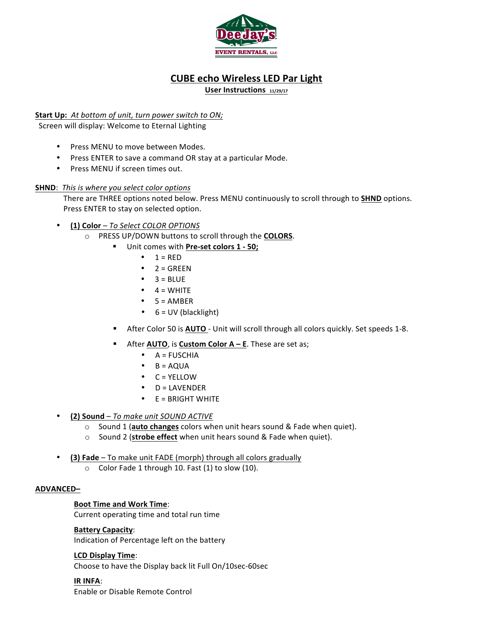

# **CUBE echo Wireless LED Par Light**

User Instructions 11/29/17

## **Start Up:** At bottom of unit, *turn* power switch to ON;

Screen will display: Welcome to Eternal Lighting

- Press MENU to move between Modes.
- Press ENTER to save a command OR stay at a particular Mode.
- Press MENU if screen times out.

## **SHND**: This is where you select color options

There are THREE options noted below. Press MENU continuously to scroll through to **SHND** options. Press ENTER to stay on selected option.

## • **(1) Color** – *To Select COLOR OPTIONS*

- o PRESS UP/DOWN buttons to scroll through the **COLORS**.
	- Unit comes with Pre-set colors 1 50;
		- $\bullet$  1 = RED
		- $2 = GREF$
		- $\bullet$  3 = BLUE
		- $\bullet$  4 = WHITE
		- $5 = AMBER$
		- $\bullet$  6 = UV (blacklight)
	- **EXEC After Color 50 is <b>AUTO** Unit will scroll through all colors quickly. Set speeds 1-8.
	- **EXECTE:** After **AUTO**, is **Custom Color A E**. These are set as;
		- $\bullet$  A = FUSCHIA
		- $\bullet$  B = AQUA
		- $\bullet$  C = YELLOW
		- $\bullet$  D = LAVENDER
		- $\bullet$  E = BRIGHT WHITE
- **(2) Sound** To make unit SOUND ACTIVE
	- o Sound 1 (**auto changes** colors when unit hears sound & Fade when quiet).
	- o Sound 2 (**strobe effect** when unit hears sound & Fade when quiet).
- **(3) Fade** To make unit FADE (morph) through all colors gradually
	- $\circ$  Color Fade 1 through 10. Fast (1) to slow (10).

## **ADVANCED–**

## **Boot Time and Work Time:**

Current operating time and total run time

## **Battery Capacity**:

Indication of Percentage left on the battery

## **LCD Display Time**:

Choose to have the Display back lit Full On/10sec-60sec

#### **IR INFA**:

Enable or Disable Remote Control